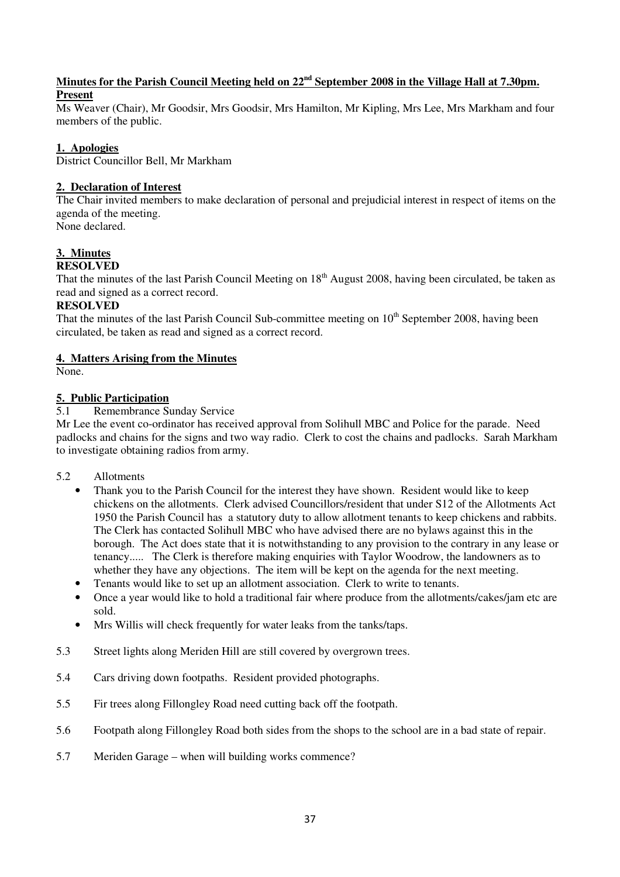### **Minutes for the Parish Council Meeting held on 22nd September 2008 in the Village Hall at 7.30pm. Present**

Ms Weaver (Chair), Mr Goodsir, Mrs Goodsir, Mrs Hamilton, Mr Kipling, Mrs Lee, Mrs Markham and four members of the public.

### **1. Apologies**

District Councillor Bell, Mr Markham

### **2. Declaration of Interest**

The Chair invited members to make declaration of personal and prejudicial interest in respect of items on the agenda of the meeting. None declared.

#### **3. Minutes RESOLVED**

That the minutes of the last Parish Council Meeting on  $18<sup>th</sup>$  August 2008, having been circulated, be taken as read and signed as a correct record.

### **RESOLVED**

That the minutes of the last Parish Council Sub-committee meeting on 10<sup>th</sup> September 2008, having been circulated, be taken as read and signed as a correct record.

### **4. Matters Arising from the Minutes**

None.

# **5. Public Participation**

### 5.1 Remembrance Sunday Service

Mr Lee the event co-ordinator has received approval from Solihull MBC and Police for the parade. Need padlocks and chains for the signs and two way radio. Clerk to cost the chains and padlocks. Sarah Markham to investigate obtaining radios from army.

- 5.2 Allotments
	- Thank you to the Parish Council for the interest they have shown. Resident would like to keep chickens on the allotments. Clerk advised Councillors/resident that under S12 of the Allotments Act 1950 the Parish Council has a statutory duty to allow allotment tenants to keep chickens and rabbits. The Clerk has contacted Solihull MBC who have advised there are no bylaws against this in the borough. The Act does state that it is notwithstanding to any provision to the contrary in any lease or tenancy..... The Clerk is therefore making enquiries with Taylor Woodrow, the landowners as to whether they have any objections. The item will be kept on the agenda for the next meeting.
	- Tenants would like to set up an allotment association. Clerk to write to tenants.
	- Once a year would like to hold a traditional fair where produce from the allotments/cakes/jam etc are sold.
	- Mrs Willis will check frequently for water leaks from the tanks/taps.
- 5.3 Street lights along Meriden Hill are still covered by overgrown trees.
- 5.4 Cars driving down footpaths. Resident provided photographs.
- 5.5 Fir trees along Fillongley Road need cutting back off the footpath.
- 5.6 Footpath along Fillongley Road both sides from the shops to the school are in a bad state of repair.
- 5.7 Meriden Garage when will building works commence?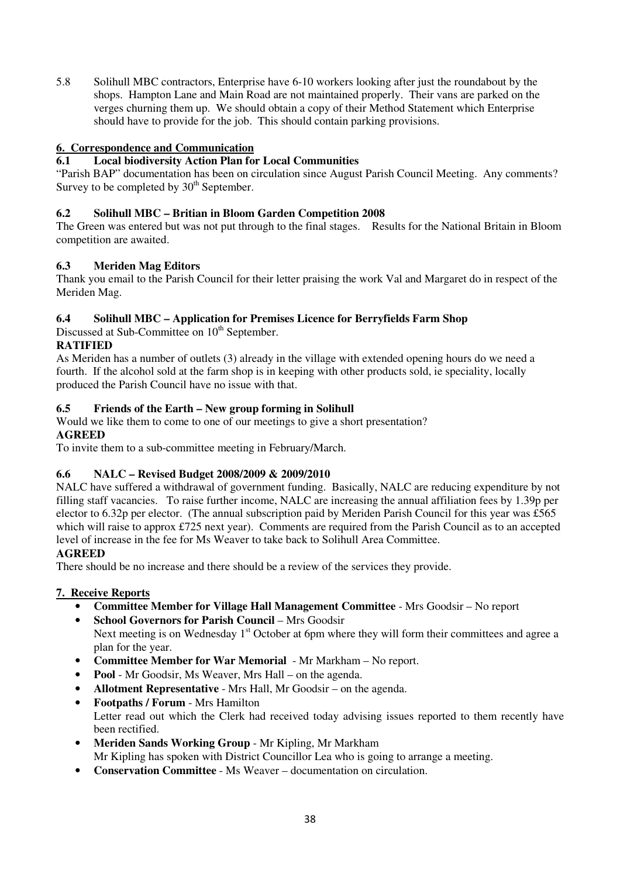5.8 Solihull MBC contractors, Enterprise have 6-10 workers looking after just the roundabout by the shops. Hampton Lane and Main Road are not maintained properly. Their vans are parked on the verges churning them up. We should obtain a copy of their Method Statement which Enterprise should have to provide for the job. This should contain parking provisions.

# **6. Correspondence and Communication**

# **6.1 Local biodiversity Action Plan for Local Communities**

"Parish BAP" documentation has been on circulation since August Parish Council Meeting. Any comments? Survey to be completed by  $30<sup>th</sup>$  September.

## **6.2 Solihull MBC – Britian in Bloom Garden Competition 2008**

The Green was entered but was not put through to the final stages. Results for the National Britain in Bloom competition are awaited.

# **6.3 Meriden Mag Editors**

Thank you email to the Parish Council for their letter praising the work Val and Margaret do in respect of the Meriden Mag.

# **6.4 Solihull MBC – Application for Premises Licence for Berryfields Farm Shop**

Discussed at Sub-Committee on 10<sup>th</sup> September.

## **RATIFIED**

As Meriden has a number of outlets (3) already in the village with extended opening hours do we need a fourth. If the alcohol sold at the farm shop is in keeping with other products sold, ie speciality, locally produced the Parish Council have no issue with that.

# **6.5 Friends of the Earth – New group forming in Solihull**

Would we like them to come to one of our meetings to give a short presentation? **AGREED** 

To invite them to a sub-committee meeting in February/March.

# **6.6 NALC – Revised Budget 2008/2009 & 2009/2010**

NALC have suffered a withdrawal of government funding. Basically, NALC are reducing expenditure by not filling staff vacancies. To raise further income, NALC are increasing the annual affiliation fees by 1.39p per elector to 6.32p per elector. (The annual subscription paid by Meriden Parish Council for this year was £565 which will raise to approx £725 next year). Comments are required from the Parish Council as to an accepted level of increase in the fee for Ms Weaver to take back to Solihull Area Committee.

### **AGREED**

There should be no increase and there should be a review of the services they provide.

### **7. Receive Reports**

- **Committee Member for Village Hall Management Committee** Mrs Goodsir No report
- **School Governors for Parish Council** Mrs Goodsir Next meeting is on Wednesday  $1<sup>st</sup>$  October at 6pm where they will form their committees and agree a plan for the year.
- **Committee Member for War Memorial** Mr Markham No report.
- **Pool** Mr Goodsir, Ms Weaver, Mrs Hall on the agenda.
- **Allotment Representative** Mrs Hall, Mr Goodsir on the agenda.
- **Footpaths / Forum** Mrs Hamilton Letter read out which the Clerk had received today advising issues reported to them recently have been rectified.
- **Meriden Sands Working Group** Mr Kipling, Mr Markham Mr Kipling has spoken with District Councillor Lea who is going to arrange a meeting.
- **Conservation Committee** Ms Weaver documentation on circulation.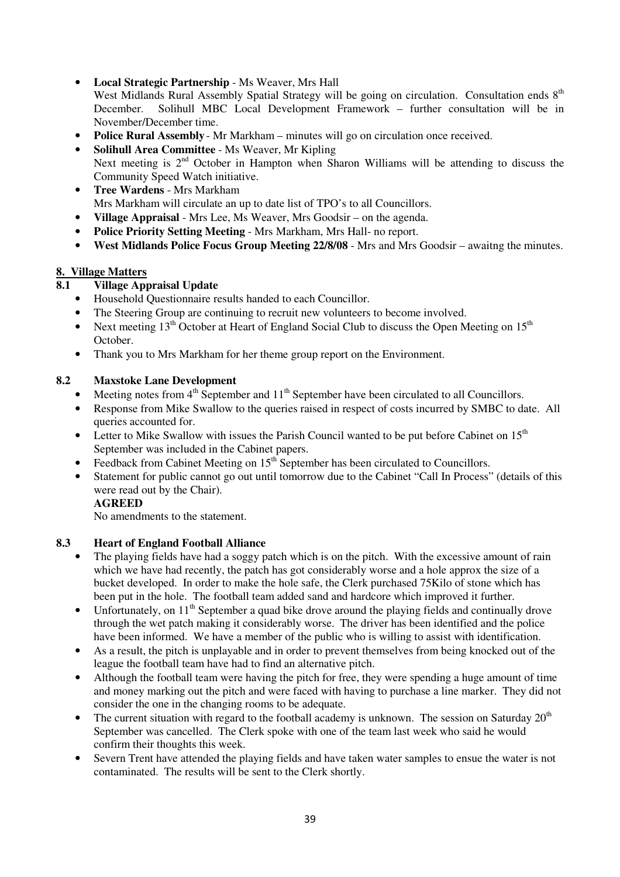• **Local Strategic Partnership** - Ms Weaver, Mrs Hall

West Midlands Rural Assembly Spatial Strategy will be going on circulation. Consultation ends 8<sup>th</sup> December. Solihull MBC Local Development Framework – further consultation will be in November/December time.

- **Police Rural Assembly** Mr Markham minutes will go on circulation once received.
- **Solihull Area Committee** Ms Weaver, Mr Kipling Next meeting is  $2<sup>nd</sup>$  October in Hampton when Sharon Williams will be attending to discuss the Community Speed Watch initiative.
- **Tree Wardens** Mrs Markham Mrs Markham will circulate an up to date list of TPO's to all Councillors.
- **Village Appraisal** Mrs Lee, Ms Weaver, Mrs Goodsir on the agenda.
- **Police Priority Setting Meeting**  Mrs Markham, Mrs Hall- no report.
- **West Midlands Police Focus Group Meeting 22/8/08**  Mrs and Mrs Goodsir awaitng the minutes.

### **8. Village Matters**

## **8.1 Village Appraisal Update**

- Household Questionnaire results handed to each Councillor.
- The Steering Group are continuing to recruit new volunteers to become involved.
- Next meeting  $13<sup>th</sup>$  October at Heart of England Social Club to discuss the Open Meeting on  $15<sup>th</sup>$ October.
- Thank you to Mrs Markham for her theme group report on the Environment.

## **8.2 Maxstoke Lane Development**

- Meeting notes from  $4<sup>th</sup>$  September and  $11<sup>th</sup>$  September have been circulated to all Councillors.
- Response from Mike Swallow to the queries raised in respect of costs incurred by SMBC to date. All queries accounted for.
- Letter to Mike Swallow with issues the Parish Council wanted to be put before Cabinet on  $15<sup>th</sup>$ September was included in the Cabinet papers.
- Feedback from Cabinet Meeting on  $15<sup>th</sup>$  September has been circulated to Councillors.
- Statement for public cannot go out until tomorrow due to the Cabinet "Call In Process" (details of this were read out by the Chair).

### **AGREED**

No amendments to the statement.

### **8.3 Heart of England Football Alliance**

- The playing fields have had a soggy patch which is on the pitch. With the excessive amount of rain which we have had recently, the patch has got considerably worse and a hole approx the size of a bucket developed. In order to make the hole safe, the Clerk purchased 75Kilo of stone which has been put in the hole. The football team added sand and hardcore which improved it further.
- Unfortunately, on  $11<sup>th</sup>$  September a quad bike drove around the playing fields and continually drove through the wet patch making it considerably worse. The driver has been identified and the police have been informed. We have a member of the public who is willing to assist with identification.
- As a result, the pitch is unplayable and in order to prevent themselves from being knocked out of the league the football team have had to find an alternative pitch.
- Although the football team were having the pitch for free, they were spending a huge amount of time and money marking out the pitch and were faced with having to purchase a line marker. They did not consider the one in the changing rooms to be adequate.
- The current situation with regard to the football academy is unknown. The session on Saturday  $20<sup>th</sup>$ September was cancelled. The Clerk spoke with one of the team last week who said he would confirm their thoughts this week.
- Severn Trent have attended the playing fields and have taken water samples to ensue the water is not contaminated. The results will be sent to the Clerk shortly.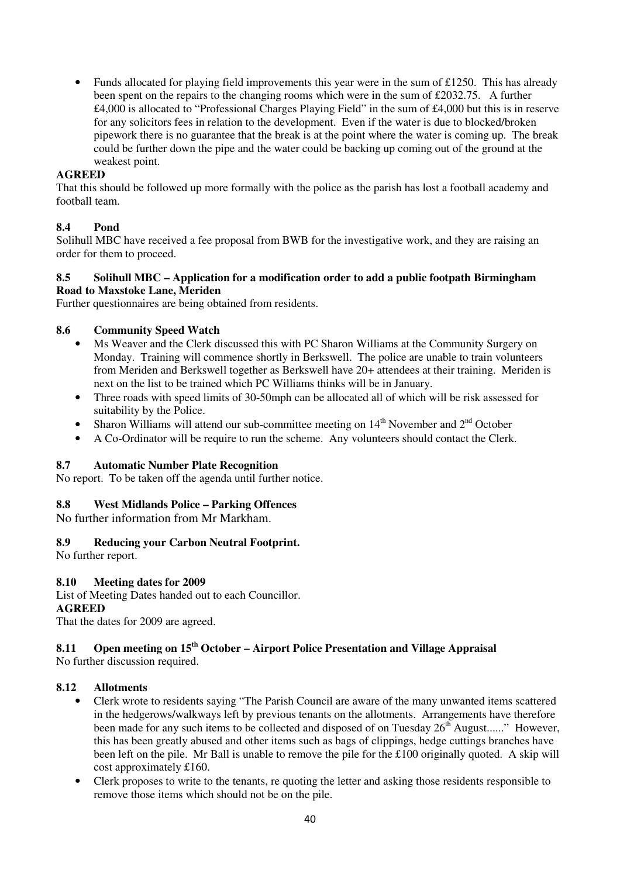• Funds allocated for playing field improvements this year were in the sum of £1250. This has already been spent on the repairs to the changing rooms which were in the sum of £2032.75. A further £4,000 is allocated to "Professional Charges Playing Field" in the sum of £4,000 but this is in reserve for any solicitors fees in relation to the development. Even if the water is due to blocked/broken pipework there is no guarantee that the break is at the point where the water is coming up. The break could be further down the pipe and the water could be backing up coming out of the ground at the weakest point.

#### **AGREED**

That this should be followed up more formally with the police as the parish has lost a football academy and football team.

### **8.4 Pond**

Solihull MBC have received a fee proposal from BWB for the investigative work, and they are raising an order for them to proceed.

#### **8.5 Solihull MBC – Application for a modification order to add a public footpath Birmingham Road to Maxstoke Lane, Meriden**

Further questionnaires are being obtained from residents.

#### **8.6 Community Speed Watch**

- Ms Weaver and the Clerk discussed this with PC Sharon Williams at the Community Surgery on Monday. Training will commence shortly in Berkswell. The police are unable to train volunteers from Meriden and Berkswell together as Berkswell have 20+ attendees at their training. Meriden is next on the list to be trained which PC Williams thinks will be in January.
- Three roads with speed limits of 30-50mph can be allocated all of which will be risk assessed for suitability by the Police.
- Sharon Williams will attend our sub-committee meeting on  $14<sup>th</sup>$  November and  $2<sup>nd</sup>$  October
- A Co-Ordinator will be require to run the scheme. Any volunteers should contact the Clerk.

#### **8.7 Automatic Number Plate Recognition**

No report. To be taken off the agenda until further notice.

#### **8.8 West Midlands Police – Parking Offences**

No further information from Mr Markham.

### **8.9 Reducing your Carbon Neutral Footprint.**

No further report.

#### **8.10 Meeting dates for 2009**

List of Meeting Dates handed out to each Councillor. **AGREED** 

That the dates for 2009 are agreed.

#### **8.11 Open meeting on 15th October – Airport Police Presentation and Village Appraisal**  No further discussion required.

#### **8.12 Allotments**

- Clerk wrote to residents saying "The Parish Council are aware of the many unwanted items scattered in the hedgerows/walkways left by previous tenants on the allotments. Arrangements have therefore been made for any such items to be collected and disposed of on Tuesday  $26<sup>th</sup>$  August......" However, this has been greatly abused and other items such as bags of clippings, hedge cuttings branches have been left on the pile. Mr Ball is unable to remove the pile for the £100 originally quoted. A skip will cost approximately £160.
- Clerk proposes to write to the tenants, re quoting the letter and asking those residents responsible to remove those items which should not be on the pile.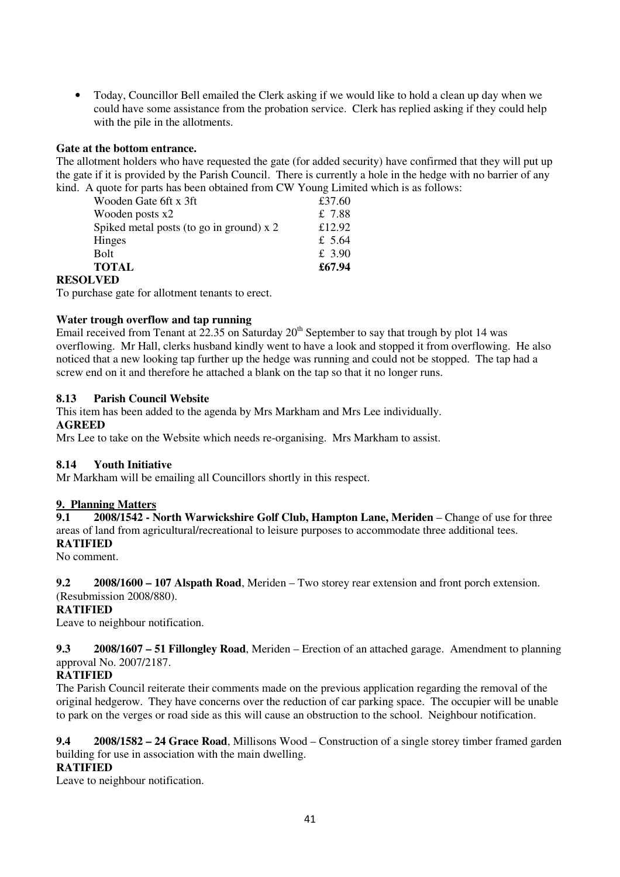• Today, Councillor Bell emailed the Clerk asking if we would like to hold a clean up day when we could have some assistance from the probation service. Clerk has replied asking if they could help with the pile in the allotments.

### **Gate at the bottom entrance.**

The allotment holders who have requested the gate (for added security) have confirmed that they will put up the gate if it is provided by the Parish Council. There is currently a hole in the hedge with no barrier of any kind. A quote for parts has been obtained from CW Young Limited which is as follows:

| Wooden Gate 6ft x 3ft                    | £37.60 |
|------------------------------------------|--------|
| Wooden posts x2                          | £ 7.88 |
| Spiked metal posts (to go in ground) x 2 | £12.92 |
| Hinges                                   | £ 5.64 |
| Bolt                                     | £ 3.90 |
| <b>TOTAL</b>                             | £67.94 |
|                                          |        |

### **RESOLVED**

To purchase gate for allotment tenants to erect.

#### **Water trough overflow and tap running**

Email received from Tenant at  $22.35$  on Saturday  $20<sup>th</sup>$  September to say that trough by plot 14 was overflowing. Mr Hall, clerks husband kindly went to have a look and stopped it from overflowing. He also noticed that a new looking tap further up the hedge was running and could not be stopped. The tap had a screw end on it and therefore he attached a blank on the tap so that it no longer runs.

#### **8.13 Parish Council Website**

This item has been added to the agenda by Mrs Markham and Mrs Lee individually.

#### **AGREED**

Mrs Lee to take on the Website which needs re-organising. Mrs Markham to assist.

#### **8.14 Youth Initiative**

Mr Markham will be emailing all Councillors shortly in this respect.

#### **9. Planning Matters**

**9.1 2008/1542 - North Warwickshire Golf Club, Hampton Lane, Meriden** – Change of use for three areas of land from agricultural/recreational to leisure purposes to accommodate three additional tees. **RATIFIED** 

No comment.

### **9.2 2008/1600 – 107 Alspath Road**, Meriden – Two storey rear extension and front porch extension.

#### (Resubmission 2008/880).

#### **RATIFIED**

Leave to neighbour notification.

**9.3 2008/1607 – 51 Fillongley Road**, Meriden – Erection of an attached garage. Amendment to planning approval No. 2007/2187.

### **RATIFIED**

The Parish Council reiterate their comments made on the previous application regarding the removal of the original hedgerow. They have concerns over the reduction of car parking space. The occupier will be unable to park on the verges or road side as this will cause an obstruction to the school. Neighbour notification.

**9.4 2008/1582 – 24 Grace Road**, Millisons Wood – Construction of a single storey timber framed garden building for use in association with the main dwelling.

#### **RATIFIED**

Leave to neighbour notification.